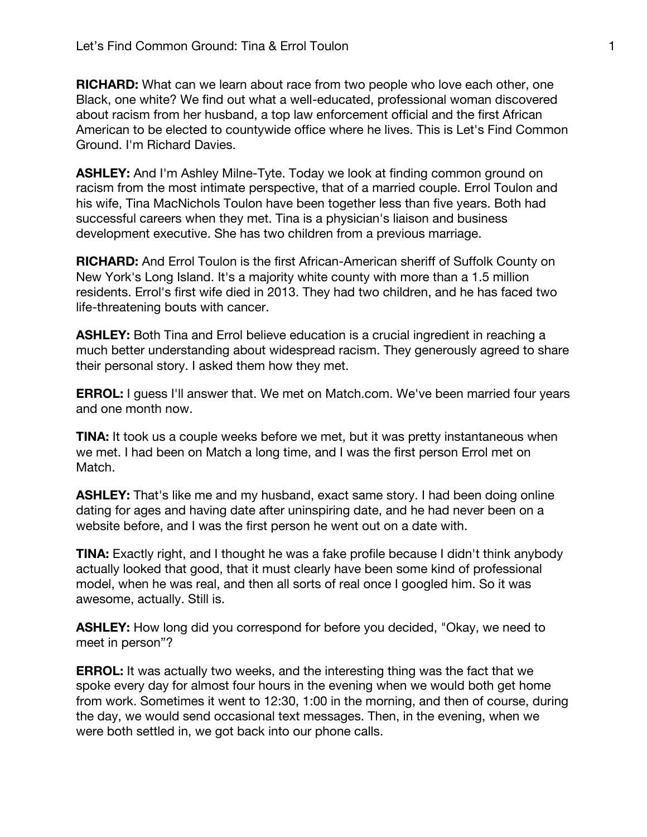**RICHARD:** What can we learn about race from two people who love each other, one Black, one white? We find out what a well-educated, professional woman discovered about racism from her husband, a top law enforcement official and the first African American to be elected to countywide office where he lives. This is Let's Find Common Ground. I'm Richard Davies.

**ASHLEY:** And I'm Ashley Milne-Tyte. Today we look at finding common ground on racism from the most intimate perspective, that of a married couple. Errol Toulon and his wife, Tina MacNichols Toulon have been together less than five years. Both had successful careers when they met. Tina is a physician's liaison and business development executive. She has two children from a previous marriage.

**RICHARD:** And Errol Toulon is the first African-American sheriff of Suffolk County on New York's Long Island. It's a majority white county with more than a 1.5 million residents. Errol's first wife died in 2013. They had two children, and he has faced two life-threatening bouts with cancer.

**ASHLEY:** Both Tina and Errol believe education is a crucial ingredient in reaching a much better understanding about widespread racism. They generously agreed to share their personal story. I asked them how they met.

**ERROL:** I guess I'll answer that. We met on Match.com. We've been married four years and one month now.

**TINA:** It took us a couple weeks before we met, but it was pretty instantaneous when we met. I had been on Match a long time, and I was the first person Errol met on Match.

**ASHLEY:** That's like me and my husband, exact same story. I had been doing online dating for ages and having date after uninspiring date, and he had never been on a website before, and I was the first person he went out on a date with.

**TINA:** Exactly right, and I thought he was a fake profile because I didn't think anybody actually looked that good, that it must clearly have been some kind of professional model, when he was real, and then all sorts of real once I googled him. So it was awesome, actually. Still is.

**ASHLEY:** How long did you correspond for before you decided, "Okay, we need to meet in person"?

**ERROL:** It was actually two weeks, and the interesting thing was the fact that we spoke every day for almost four hours in the evening when we would both get home from work. Sometimes it went to 12:30, 1:00 in the morning, and then of course, during the day, we would send occasional text messages. Then, in the evening, when we were both settled in, we got back into our phone calls.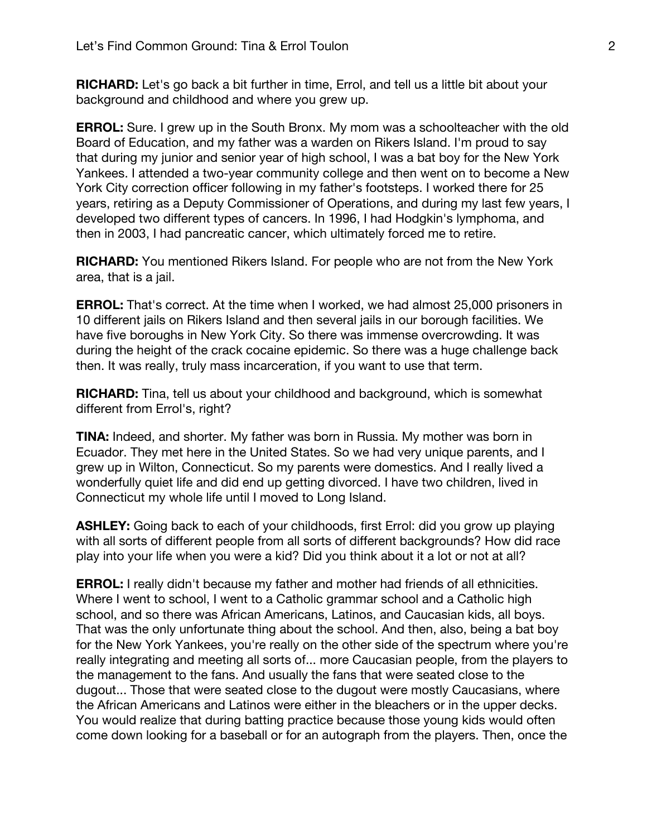**RICHARD:** Let's go back a bit further in time, Errol, and tell us a little bit about your background and childhood and where you grew up.

**ERROL:** Sure. I grew up in the South Bronx. My mom was a schoolteacher with the old Board of Education, and my father was a warden on Rikers Island. I'm proud to say that during my junior and senior year of high school, I was a bat boy for the New York Yankees. I attended a two-year community college and then went on to become a New York City correction officer following in my father's footsteps. I worked there for 25 years, retiring as a Deputy Commissioner of Operations, and during my last few years, I developed two different types of cancers. In 1996, I had Hodgkin's lymphoma, and then in 2003, I had pancreatic cancer, which ultimately forced me to retire.

**RICHARD:** You mentioned Rikers Island. For people who are not from the New York area, that is a jail.

**ERROL:** That's correct. At the time when I worked, we had almost 25,000 prisoners in 10 different jails on Rikers Island and then several jails in our borough facilities. We have five boroughs in New York City. So there was immense overcrowding. It was during the height of the crack cocaine epidemic. So there was a huge challenge back then. It was really, truly mass incarceration, if you want to use that term.

**RICHARD:** Tina, tell us about your childhood and background, which is somewhat different from Errol's, right?

**TINA:** Indeed, and shorter. My father was born in Russia. My mother was born in Ecuador. They met here in the United States. So we had very unique parents, and I grew up in Wilton, Connecticut. So my parents were domestics. And I really lived a wonderfully quiet life and did end up getting divorced. I have two children, lived in Connecticut my whole life until I moved to Long Island.

**ASHLEY:** Going back to each of your childhoods, first Errol: did you grow up playing with all sorts of different people from all sorts of different backgrounds? How did race play into your life when you were a kid? Did you think about it a lot or not at all?

**ERROL:** I really didn't because my father and mother had friends of all ethnicities. Where I went to school, I went to a Catholic grammar school and a Catholic high school, and so there was African Americans, Latinos, and Caucasian kids, all boys. That was the only unfortunate thing about the school. And then, also, being a bat boy for the New York Yankees, you're really on the other side of the spectrum where you're really integrating and meeting all sorts of... more Caucasian people, from the players to the management to the fans. And usually the fans that were seated close to the dugout... Those that were seated close to the dugout were mostly Caucasians, where the African Americans and Latinos were either in the bleachers or in the upper decks. You would realize that during batting practice because those young kids would often come down looking for a baseball or for an autograph from the players. Then, once the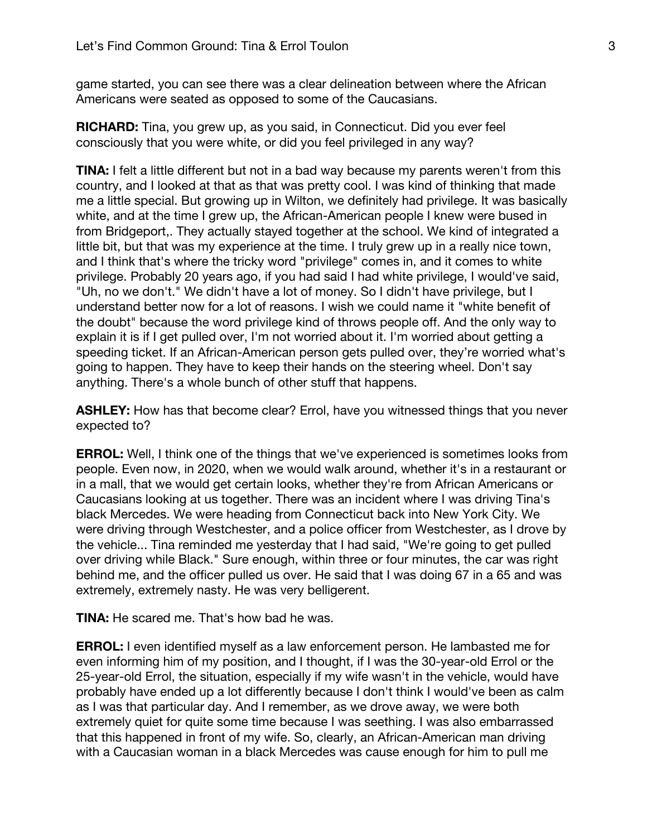game started, you can see there was a clear delineation between where the African Americans were seated as opposed to some of the Caucasians.

**RICHARD:** Tina, you grew up, as you said, in Connecticut. Did you ever feel consciously that you were white, or did you feel privileged in any way?

**TINA:** I felt a little different but not in a bad way because my parents weren't from this country, and I looked at that as that was pretty cool. I was kind of thinking that made me a little special. But growing up in Wilton, we definitely had privilege. It was basically white, and at the time I grew up, the African-American people I knew were bused in from Bridgeport,. They actually stayed together at the school. We kind of integrated a little bit, but that was my experience at the time. I truly grew up in a really nice town, and I think that's where the tricky word "privilege" comes in, and it comes to white privilege. Probably 20 years ago, if you had said I had white privilege, I would've said, "Uh, no we don't." We didn't have a lot of money. So I didn't have privilege, but I understand better now for a lot of reasons. I wish we could name it "white benefit of the doubt" because the word privilege kind of throws people off. And the only way to explain it is if I get pulled over, I'm not worried about it. I'm worried about getting a speeding ticket. If an African-American person gets pulled over, they're worried what's going to happen. They have to keep their hands on the steering wheel. Don't say anything. There's a whole bunch of other stuff that happens.

**ASHLEY:** How has that become clear? Errol, have you witnessed things that you never expected to?

**ERROL:** Well, I think one of the things that we've experienced is sometimes looks from people. Even now, in 2020, when we would walk around, whether it's in a restaurant or in a mall, that we would get certain looks, whether they're from African Americans or Caucasians looking at us together. There was an incident where I was driving Tina's black Mercedes. We were heading from Connecticut back into New York City. We were driving through Westchester, and a police officer from Westchester, as I drove by the vehicle... Tina reminded me yesterday that I had said, "We're going to get pulled over driving while Black." Sure enough, within three or four minutes, the car was right behind me, and the officer pulled us over. He said that I was doing 67 in a 65 and was extremely, extremely nasty. He was very belligerent.

**TINA:** He scared me. That's how bad he was.

**ERROL:** I even identified myself as a law enforcement person. He lambasted me for even informing him of my position, and I thought, if I was the 30-year-old Errol or the 25-year-old Errol, the situation, especially if my wife wasn't in the vehicle, would have probably have ended up a lot differently because I don't think I would've been as calm as I was that particular day. And I remember, as we drove away, we were both extremely quiet for quite some time because I was seething. I was also embarrassed that this happened in front of my wife. So, clearly, an African-American man driving with a Caucasian woman in a black Mercedes was cause enough for him to pull me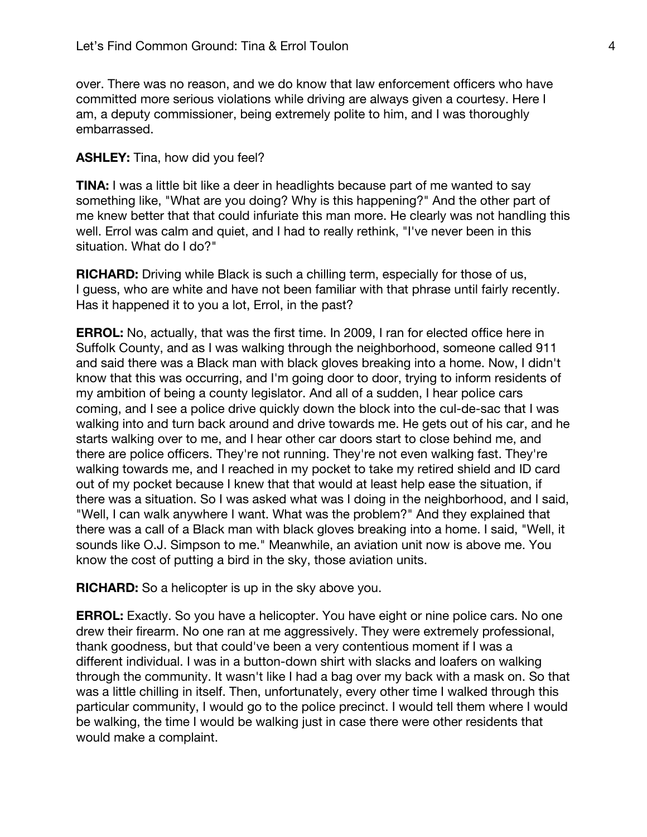over. There was no reason, and we do know that law enforcement officers who have committed more serious violations while driving are always given a courtesy. Here I am, a deputy commissioner, being extremely polite to him, and I was thoroughly embarrassed.

## **ASHLEY:** Tina, how did you feel?

**TINA:** I was a little bit like a deer in headlights because part of me wanted to say something like, "What are you doing? Why is this happening?" And the other part of me knew better that that could infuriate this man more. He clearly was not handling this well. Errol was calm and quiet, and I had to really rethink, "I've never been in this situation. What do I do?"

**RICHARD:** Driving while Black is such a chilling term, especially for those of us, I guess, who are white and have not been familiar with that phrase until fairly recently. Has it happened it to you a lot, Errol, in the past?

**ERROL:** No, actually, that was the first time. In 2009, I ran for elected office here in Suffolk County, and as I was walking through the neighborhood, someone called 911 and said there was a Black man with black gloves breaking into a home. Now, I didn't know that this was occurring, and I'm going door to door, trying to inform residents of my ambition of being a county legislator. And all of a sudden, I hear police cars coming, and I see a police drive quickly down the block into the cul-de-sac that I was walking into and turn back around and drive towards me. He gets out of his car, and he starts walking over to me, and I hear other car doors start to close behind me, and there are police officers. They're not running. They're not even walking fast. They're walking towards me, and I reached in my pocket to take my retired shield and ID card out of my pocket because I knew that that would at least help ease the situation, if there was a situation. So I was asked what was I doing in the neighborhood, and I said, "Well, I can walk anywhere I want. What was the problem?" And they explained that there was a call of a Black man with black gloves breaking into a home. I said, "Well, it sounds like O.J. Simpson to me." Meanwhile, an aviation unit now is above me. You know the cost of putting a bird in the sky, those aviation units.

**RICHARD:** So a helicopter is up in the sky above you.

**ERROL:** Exactly. So you have a helicopter. You have eight or nine police cars. No one drew their firearm. No one ran at me aggressively. They were extremely professional, thank goodness, but that could've been a very contentious moment if I was a different individual. I was in a button-down shirt with slacks and loafers on walking through the community. It wasn't like I had a bag over my back with a mask on. So that was a little chilling in itself. Then, unfortunately, every other time I walked through this particular community, I would go to the police precinct. I would tell them where I would be walking, the time I would be walking just in case there were other residents that would make a complaint.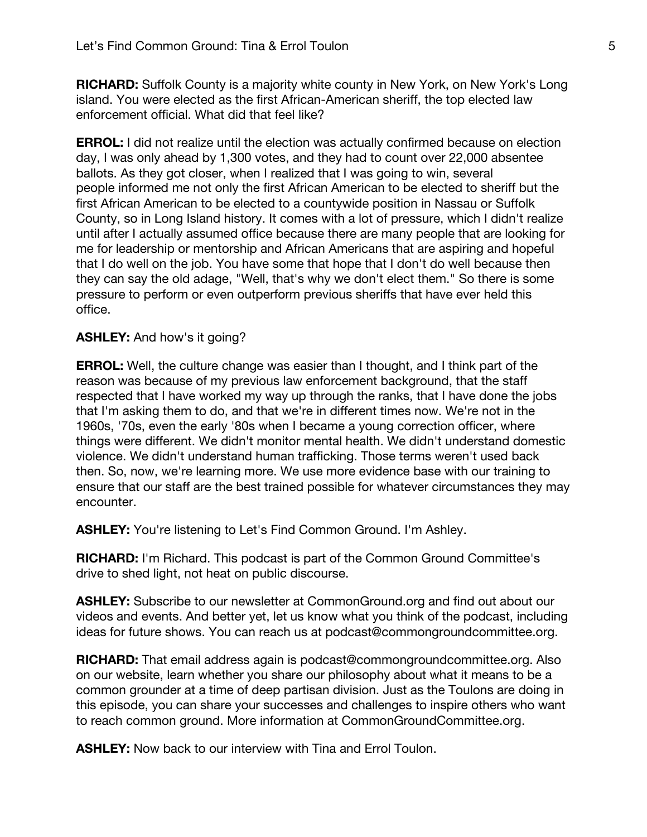**RICHARD:** Suffolk County is a majority white county in New York, on New York's Long island. You were elected as the first African-American sheriff, the top elected law enforcement official. What did that feel like?

**ERROL:** I did not realize until the election was actually confirmed because on election day, I was only ahead by 1,300 votes, and they had to count over 22,000 absentee ballots. As they got closer, when I realized that I was going to win, several people informed me not only the first African American to be elected to sheriff but the first African American to be elected to a countywide position in Nassau or Suffolk County, so in Long Island history. It comes with a lot of pressure, which I didn't realize until after I actually assumed office because there are many people that are looking for me for leadership or mentorship and African Americans that are aspiring and hopeful that I do well on the job. You have some that hope that I don't do well because then they can say the old adage, "Well, that's why we don't elect them." So there is some pressure to perform or even outperform previous sheriffs that have ever held this office.

## **ASHLEY:** And how's it going?

**ERROL:** Well, the culture change was easier than I thought, and I think part of the reason was because of my previous law enforcement background, that the staff respected that I have worked my way up through the ranks, that I have done the jobs that I'm asking them to do, and that we're in different times now. We're not in the 1960s, '70s, even the early '80s when I became a young correction officer, where things were different. We didn't monitor mental health. We didn't understand domestic violence. We didn't understand human trafficking. Those terms weren't used back then. So, now, we're learning more. We use more evidence base with our training to ensure that our staff are the best trained possible for whatever circumstances they may encounter.

ASHLEY: You're listening to Let's Find Common Ground. I'm Ashley.

**RICHARD:** I'm Richard. This podcast is part of the Common Ground Committee's drive to shed light, not heat on public discourse.

**ASHLEY:** Subscribe to our newsletter at CommonGround.org and find out about our videos and events. And better yet, let us know what you think of the podcast, including ideas for future shows. You can reach us at podcast@commongroundcommittee.org.

**RICHARD:** That email address again is podcast@commongroundcommittee.org. Also on our website, learn whether you share our philosophy about what it means to be a common grounder at a time of deep partisan division. Just as the Toulons are doing in this episode, you can share your successes and challenges to inspire others who want to reach common ground. More information at CommonGroundCommittee.org.

**ASHLEY:** Now back to our interview with Tina and Errol Toulon.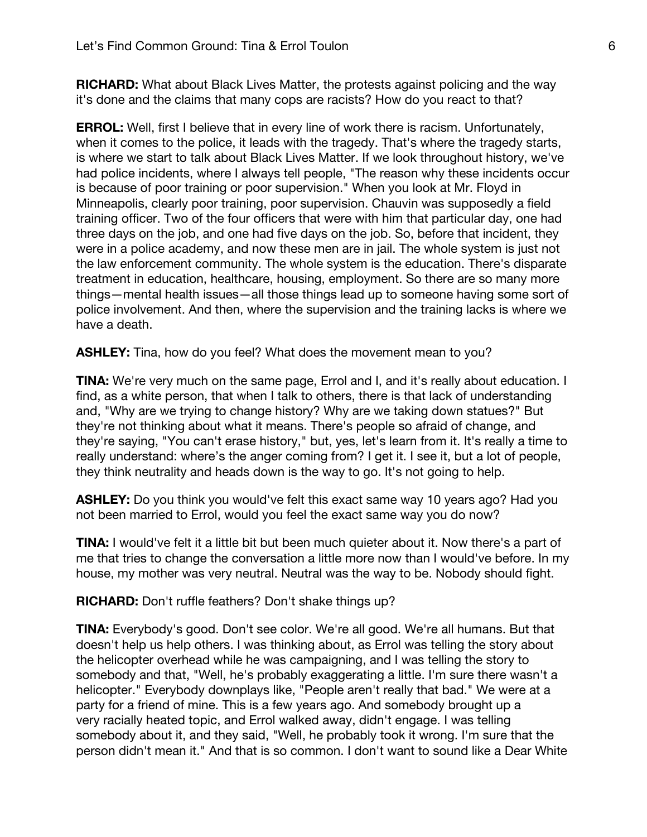**RICHARD:** What about Black Lives Matter, the protests against policing and the way it's done and the claims that many cops are racists? How do you react to that?

**ERROL:** Well, first I believe that in every line of work there is racism. Unfortunately, when it comes to the police, it leads with the tragedy. That's where the tragedy starts, is where we start to talk about Black Lives Matter. If we look throughout history, we've had police incidents, where I always tell people, "The reason why these incidents occur is because of poor training or poor supervision." When you look at Mr. Floyd in Minneapolis, clearly poor training, poor supervision. Chauvin was supposedly a field training officer. Two of the four officers that were with him that particular day, one had three days on the job, and one had five days on the job. So, before that incident, they were in a police academy, and now these men are in jail. The whole system is just not the law enforcement community. The whole system is the education. There's disparate treatment in education, healthcare, housing, employment. So there are so many more things—mental health issues—all those things lead up to someone having some sort of police involvement. And then, where the supervision and the training lacks is where we have a death.

**ASHLEY:** Tina, how do you feel? What does the movement mean to you?

**TINA:** We're very much on the same page, Errol and I, and it's really about education. I find, as a white person, that when I talk to others, there is that lack of understanding and, "Why are we trying to change history? Why are we taking down statues?" But they're not thinking about what it means. There's people so afraid of change, and they're saying, "You can't erase history," but, yes, let's learn from it. It's really a time to really understand: where's the anger coming from? I get it. I see it, but a lot of people, they think neutrality and heads down is the way to go. It's not going to help.

**ASHLEY:** Do you think you would've felt this exact same way 10 years ago? Had you not been married to Errol, would you feel the exact same way you do now?

**TINA:** I would've felt it a little bit but been much quieter about it. Now there's a part of me that tries to change the conversation a little more now than I would've before. In my house, my mother was very neutral. Neutral was the way to be. Nobody should fight.

**RICHARD:** Don't ruffle feathers? Don't shake things up?

**TINA:** Everybody's good. Don't see color. We're all good. We're all humans. But that doesn't help us help others. I was thinking about, as Errol was telling the story about the helicopter overhead while he was campaigning, and I was telling the story to somebody and that, "Well, he's probably exaggerating a little. I'm sure there wasn't a helicopter." Everybody downplays like, "People aren't really that bad." We were at a party for a friend of mine. This is a few years ago. And somebody brought up a very racially heated topic, and Errol walked away, didn't engage. I was telling somebody about it, and they said, "Well, he probably took it wrong. I'm sure that the person didn't mean it." And that is so common. I don't want to sound like a Dear White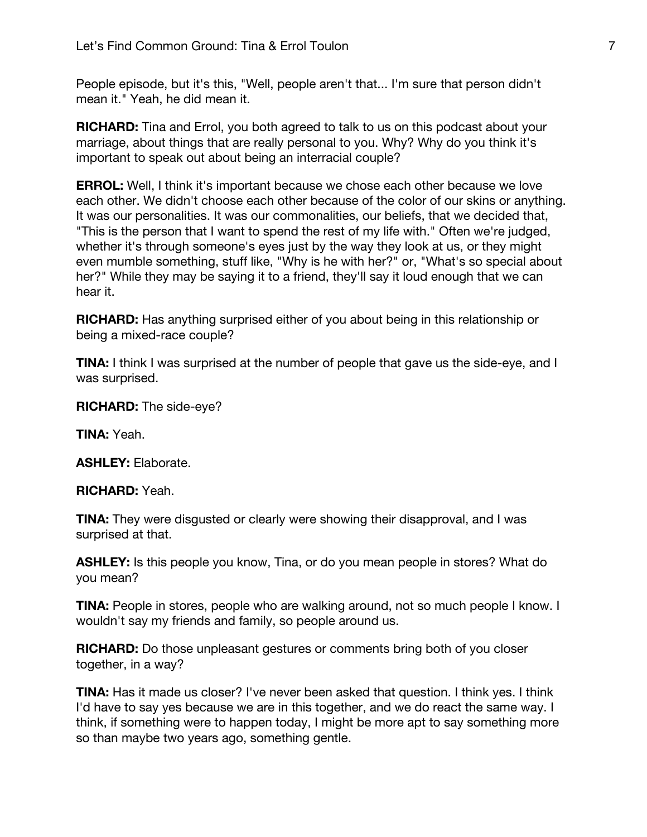People episode, but it's this, "Well, people aren't that... I'm sure that person didn't mean it." Yeah, he did mean it.

**RICHARD:** Tina and Errol, you both agreed to talk to us on this podcast about your marriage, about things that are really personal to you. Why? Why do you think it's important to speak out about being an interracial couple?

**ERROL:** Well, I think it's important because we chose each other because we love each other. We didn't choose each other because of the color of our skins or anything. It was our personalities. It was our commonalities, our beliefs, that we decided that, "This is the person that I want to spend the rest of my life with." Often we're judged, whether it's through someone's eyes just by the way they look at us, or they might even mumble something, stuff like, "Why is he with her?" or, "What's so special about her?" While they may be saying it to a friend, they'll say it loud enough that we can hear it.

**RICHARD:** Has anything surprised either of you about being in this relationship or being a mixed-race couple?

**TINA:** I think I was surprised at the number of people that gave us the side-eye, and I was surprised.

**RICHARD:** The side-eye?

**TINA:** Yeah.

**ASHLEY:** Elaborate.

**RICHARD:** Yeah.

**TINA:** They were disgusted or clearly were showing their disapproval, and I was surprised at that.

**ASHLEY:** Is this people you know, Tina, or do you mean people in stores? What do you mean?

**TINA:** People in stores, people who are walking around, not so much people I know. I wouldn't say my friends and family, so people around us.

**RICHARD:** Do those unpleasant gestures or comments bring both of you closer together, in a way?

**TINA:** Has it made us closer? I've never been asked that question. I think yes. I think I'd have to say yes because we are in this together, and we do react the same way. I think, if something were to happen today, I might be more apt to say something more so than maybe two years ago, something gentle.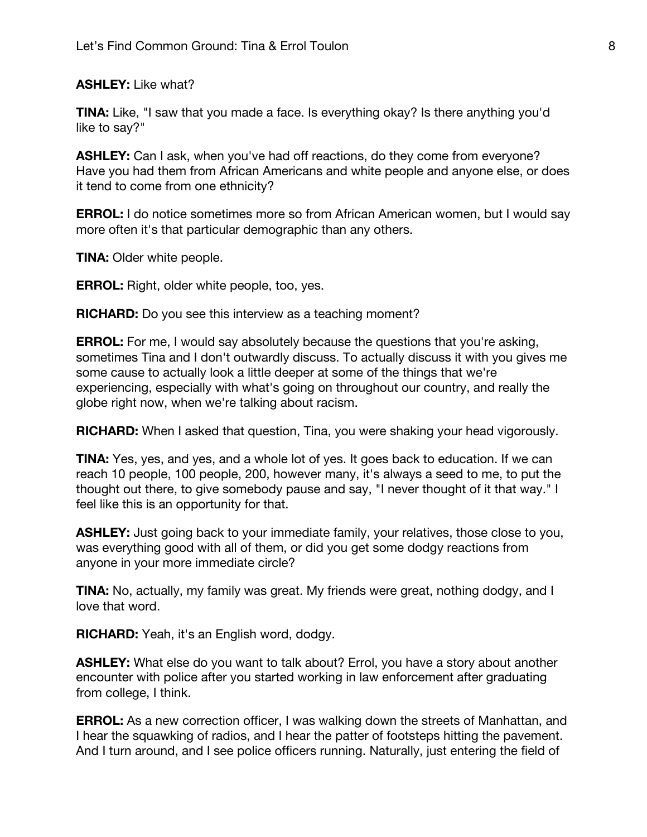**ASHLEY:** Like what?

**TINA:** Like, "I saw that you made a face. Is everything okay? Is there anything you'd like to say?"

**ASHLEY:** Can I ask, when you've had off reactions, do they come from everyone? Have you had them from African Americans and white people and anyone else, or does it tend to come from one ethnicity?

**ERROL:** I do notice sometimes more so from African American women, but I would say more often it's that particular demographic than any others.

**TINA:** Older white people.

**ERROL:** Right, older white people, too, yes.

**RICHARD:** Do you see this interview as a teaching moment?

**ERROL:** For me, I would say absolutely because the questions that you're asking, sometimes Tina and I don't outwardly discuss. To actually discuss it with you gives me some cause to actually look a little deeper at some of the things that we're experiencing, especially with what's going on throughout our country, and really the globe right now, when we're talking about racism.

**RICHARD:** When I asked that question, Tina, you were shaking your head vigorously.

**TINA:** Yes, yes, and yes, and a whole lot of yes. It goes back to education. If we can reach 10 people, 100 people, 200, however many, it's always a seed to me, to put the thought out there, to give somebody pause and say, "I never thought of it that way." I feel like this is an opportunity for that.

**ASHLEY:** Just going back to your immediate family, your relatives, those close to you, was everything good with all of them, or did you get some dodgy reactions from anyone in your more immediate circle?

**TINA:** No, actually, my family was great. My friends were great, nothing dodgy, and I love that word.

**RICHARD:** Yeah, it's an English word, dodgy.

**ASHLEY:** What else do you want to talk about? Errol, you have a story about another encounter with police after you started working in law enforcement after graduating from college, I think.

**ERROL:** As a new correction officer, I was walking down the streets of Manhattan, and I hear the squawking of radios, and I hear the patter of footsteps hitting the pavement. And I turn around, and I see police officers running. Naturally, just entering the field of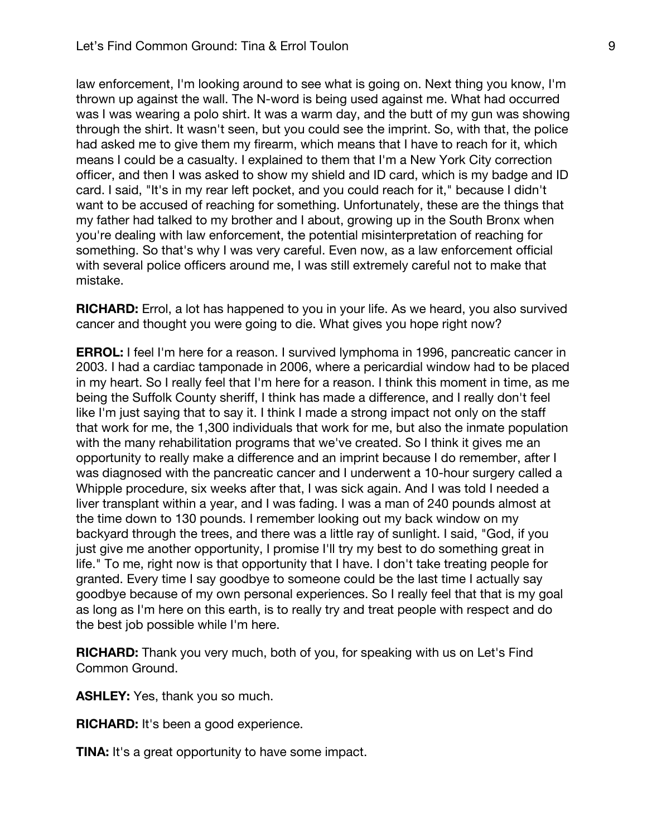law enforcement, I'm looking around to see what is going on. Next thing you know, I'm thrown up against the wall. The N-word is being used against me. What had occurred was I was wearing a polo shirt. It was a warm day, and the butt of my gun was showing through the shirt. It wasn't seen, but you could see the imprint. So, with that, the police had asked me to give them my firearm, which means that I have to reach for it, which means I could be a casualty. I explained to them that I'm a New York City correction officer, and then I was asked to show my shield and ID card, which is my badge and ID card. I said, "It's in my rear left pocket, and you could reach for it," because I didn't want to be accused of reaching for something. Unfortunately, these are the things that my father had talked to my brother and I about, growing up in the South Bronx when you're dealing with law enforcement, the potential misinterpretation of reaching for something. So that's why I was very careful. Even now, as a law enforcement official with several police officers around me, I was still extremely careful not to make that mistake.

**RICHARD:** Errol, a lot has happened to you in your life. As we heard, you also survived cancer and thought you were going to die. What gives you hope right now?

**ERROL:** I feel I'm here for a reason. I survived lymphoma in 1996, pancreatic cancer in 2003. I had a cardiac tamponade in 2006, where a pericardial window had to be placed in my heart. So I really feel that I'm here for a reason. I think this moment in time, as me being the Suffolk County sheriff, I think has made a difference, and I really don't feel like I'm just saying that to say it. I think I made a strong impact not only on the staff that work for me, the 1,300 individuals that work for me, but also the inmate population with the many rehabilitation programs that we've created. So I think it gives me an opportunity to really make a difference and an imprint because I do remember, after I was diagnosed with the pancreatic cancer and I underwent a 10-hour surgery called a Whipple procedure, six weeks after that, I was sick again. And I was told I needed a liver transplant within a year, and I was fading. I was a man of 240 pounds almost at the time down to 130 pounds. I remember looking out my back window on my backyard through the trees, and there was a little ray of sunlight. I said, "God, if you just give me another opportunity, I promise I'll try my best to do something great in life." To me, right now is that opportunity that I have. I don't take treating people for granted. Every time I say goodbye to someone could be the last time I actually say goodbye because of my own personal experiences. So I really feel that that is my goal as long as I'm here on this earth, is to really try and treat people with respect and do the best job possible while I'm here.

**RICHARD:** Thank you very much, both of you, for speaking with us on Let's Find Common Ground.

**ASHLEY:** Yes, thank you so much.

**RICHARD:** It's been a good experience.

**TINA:** It's a great opportunity to have some impact.